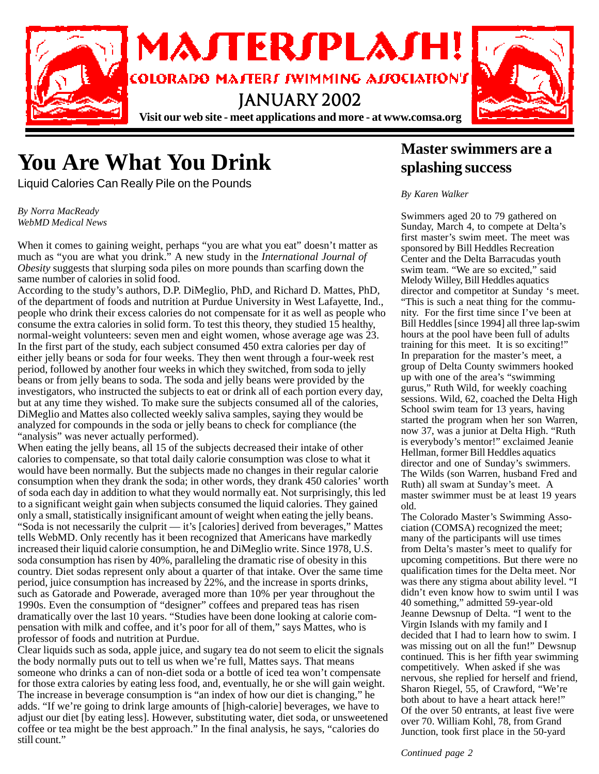

# **You Are What You Drink**

Liquid Calories Can Really Pile on the Pounds

*By Norra MacReady WebMD Medical News*

When it comes to gaining weight, perhaps "you are what you eat" doesn't matter as much as "you are what you drink." A new study in the *International Journal of Obesity* suggests that slurping soda piles on more pounds than scarfing down the same number of calories in solid food.

According to the study's authors, D.P. DiMeglio, PhD, and Richard D. Mattes, PhD, of the department of foods and nutrition at Purdue University in West Lafayette, Ind., people who drink their excess calories do not compensate for it as well as people who consume the extra calories in solid form. To test this theory, they studied 15 healthy, normal-weight volunteers: seven men and eight women, whose average age was 23. In the first part of the study, each subject consumed 450 extra calories per day of either jelly beans or soda for four weeks. They then went through a four-week rest period, followed by another four weeks in which they switched, from soda to jelly beans or from jelly beans to soda. The soda and jelly beans were provided by the investigators, who instructed the subjects to eat or drink all of each portion every day, but at any time they wished. To make sure the subjects consumed all of the calories, DiMeglio and Mattes also collected weekly saliva samples, saying they would be analyzed for compounds in the soda or jelly beans to check for compliance (the "analysis" was never actually performed).

When eating the jelly beans, all 15 of the subjects decreased their intake of other calories to compensate, so that total daily calorie consumption was close to what it would have been normally. But the subjects made no changes in their regular calorie consumption when they drank the soda; in other words, they drank 450 calories' worth of soda each day in addition to what they would normally eat. Not surprisingly, this led to a significant weight gain when subjects consumed the liquid calories. They gained only a small, statistically insignificant amount of weight when eating the jelly beans. "Soda is not necessarily the culprit — it's [calories] derived from beverages," Mattes tells WebMD. Only recently has it been recognized that Americans have markedly increased their liquid calorie consumption, he and DiMeglio write. Since 1978, U.S. soda consumption has risen by 40%, paralleling the dramatic rise of obesity in this country. Diet sodas represent only about a quarter of that intake. Over the same time period, juice consumption has increased by 22%, and the increase in sports drinks, such as Gatorade and Powerade, averaged more than 10% per year throughout the 1990s. Even the consumption of "designer" coffees and prepared teas has risen dramatically over the last 10 years. "Studies have been done looking at calorie compensation with milk and coffee, and it's poor for all of them," says Mattes, who is professor of foods and nutrition at Purdue.

Clear liquids such as soda, apple juice, and sugary tea do not seem to elicit the signals the body normally puts out to tell us when we're full, Mattes says. That means someone who drinks a can of non-diet soda or a bottle of iced tea won't compensate for those extra calories by eating less food, and, eventually, he or she will gain weight. The increase in beverage consumption is "an index of how our diet is changing," he adds. "If we're going to drink large amounts of [high-calorie] beverages, we have to adjust our diet [by eating less]. However, substituting water, diet soda, or unsweetened coffee or tea might be the best approach." In the final analysis, he says, "calories do still count."

### **Master swimmers are a splashing success**

#### *By Karen Walker*

Swimmers aged 20 to 79 gathered on Sunday, March 4, to compete at Delta's first master's swim meet. The meet was sponsored by Bill Heddles Recreation Center and the Delta Barracudas youth swim team. "We are so excited," said Melody Willey, Bill Heddles aquatics director and competitor at Sunday 's meet. "This is such a neat thing for the community. For the first time since I've been at Bill Heddles [since 1994] all three lap-swim hours at the pool have been full of adults training for this meet. It is so exciting!" In preparation for the master's meet, a group of Delta County swimmers hooked up with one of the area's "swimming gurus," Ruth Wild, for weekly coaching sessions. Wild, 62, coached the Delta High School swim team for 13 years, having started the program when her son Warren, now 37, was a junior at Delta High. "Ruth is everybody's mentor!" exclaimed Jeanie Hellman, former Bill Heddles aquatics director and one of Sunday's swimmers. The Wilds (son Warren, husband Fred and Ruth) all swam at Sunday's meet. A master swimmer must be at least 19 years old.

The Colorado Master's Swimming Association (COMSA) recognized the meet; many of the participants will use times from Delta's master's meet to qualify for upcoming competitions. But there were no qualification times for the Delta meet. Nor was there any stigma about ability level. "I didn't even know how to swim until I was 40 something," admitted 59-year-old Jeanne Dewsnup of Delta. "I went to the Virgin Islands with my family and I decided that I had to learn how to swim. I was missing out on all the fun!" Dewsnup continued. This is her fifth year swimming competitively. When asked if she was nervous, she replied for herself and friend, Sharon Riegel, 55, of Crawford, "We're both about to have a heart attack here!" Of the over 50 entrants, at least five were over 70. William Kohl, 78, from Grand Junction, took first place in the 50-yard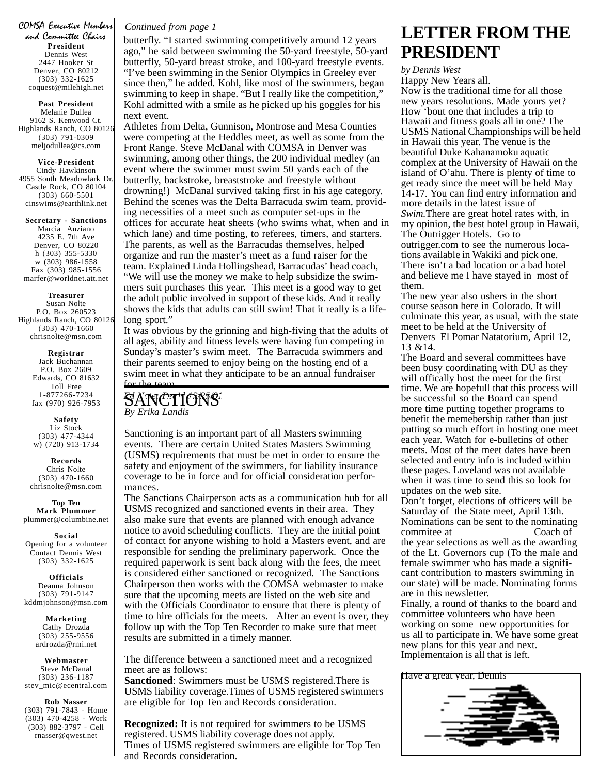COMSA Executive Members **President** Dennis West 2447 Hooker St Denver, CO 80212 (303) 332-1625 coquest@milehigh.net

**Past President** Melanie Dullea 9162 S. Kenwood Ct. Highlands Ranch, CO 80126 (303) 791-0309 meljodullea@cs.com

**Vice-President** Cindy Hawkinson 4955 South Meadowlark Dr. Castle Rock, CO 80104 (303) 660-5501 cinswims@earthlink.net

**Secretary - Sanctions** Marcia Anziano 4235 E. 7th Ave Denver, CO 80220 h (303) 355-5330

w (303) 986-1558 Fax (303) 985-1556 marfer@worldnet.att.net

**Treasurer** Susan Nolte P.O. Box 260523 Highlands Ranch, CO 80126 (303) 470-1660 chrisnolte@msn.com

> **Registrar** Jack Buchannan P.O. Box 2609 Edwards, CO 81632 Toll Free 1-877266-7234 fax (970) 926-7953

**Safety** Liz Stock (303) 477-4344 w) (720) 913-1734

**Records** Chris Nolte (303) 470-1660 chrisnolte@msn.com

**Top Ten Mark Plummer** plummer@columbine.net

**Social** Opening for a volunteer Contact Dennis West (303) 332-1625

**Officials** Deanna Johnson (303) 791-9147 kddmjohnson@msn.com

> **Marketing** Cathy Drozda (303) 255-9556 ardrozda@rmi.net

**Webmaster** Steve McDanal (303) 236-1187 stev\_mic@ecentral.com

**Rob Nasser** (303) 791-7843 - Home (303) 470-4258 - Work (303) 882-3797 - Cell rnasser@qwest.net

#### *Continued from page 1*

butterfly. "I started swimming competitively around 12 years ago," he said between swimming the 50-yard freestyle, 50-yard butterfly, 50-yard breast stroke, and 100-yard freestyle events. "I've been swimming in the Senior Olympics in Greeley ever since then," he added. Kohl, like most of the swimmers, began swimming to keep in shape. "But I really like the competition," Kohl admitted with a smile as he picked up his goggles for his next event.

Athletes from Delta, Gunnison, Montrose and Mesa Counties were competing at the Heddles meet, as well as some from the Front Range. Steve McDanal with COMSA in Denver was swimming, among other things, the 200 individual medley (an event where the swimmer must swim 50 yards each of the butterfly, backstroke, breaststroke and freestyle without drowning!) McDanal survived taking first in his age category. Behind the scenes was the Delta Barracuda swim team, providing necessities of a meet such as computer set-ups in the offices for accurate heat sheets (who swims what, when and in which lane) and time posting, to referees, timers, and starters. The parents, as well as the Barracudas themselves, helped organize and run the master's meet as a fund raiser for the team. Explained Linda Hollingshead, Barracudas' head coach, "We will use the money we make to help subsidize the swimmers suit purchases this year. This meet is a good way to get the adult public involved in support of these kids. And it really shows the kids that adults can still swim! That it really is a lifelong sport."

It was obvious by the grinning and high-fiving that the adults of all ages, ability and fitness levels were having fun competing in Sunday's master's swim meet. The Barracuda swimmers and their parents seemed to enjoy being on the hosting end of a swim meet in what they anticipate to be an annual fundraiser

for the team. S'ANCTIONS<sup>.</sup> *By Erika Landis*

Sanctioning is an important part of all Masters swimming events. There are certain United States Masters Swimming (USMS) requirements that must be met in order to ensure the safety and enjoyment of the swimmers, for liability insurance coverage to be in force and for official consideration performances.

The Sanctions Chairperson acts as a communication hub for all USMS recognized and sanctioned events in their area. They also make sure that events are planned with enough advance notice to avoid scheduling conflicts. They are the initial point of contact for anyone wishing to hold a Masters event, and are responsible for sending the preliminary paperwork. Once the required paperwork is sent back along with the fees, the meet is considered either sanctioned or recognized. The Sanctions Chairperson then works with the COMSA webmaster to make sure that the upcoming meets are listed on the web site and with the Officials Coordinator to ensure that there is plenty of time to hire officials for the meets. After an event is over, they follow up with the Top Ten Recorder to make sure that meet results are submitted in a timely manner.

The difference between a sanctioned meet and a recognized meet are as follows:

**Sanctioned**: Swimmers must be USMS registered.There is USMS liability coverage.Times of USMS registered swimmers are eligible for Top Ten and Records consideration.

**Recognized:** It is not required for swimmers to be USMS registered. USMS liability coverage does not apply. Times of USMS registered swimmers are eligible for Top Ten and Records consideration.

### **LETTER FROM THE PRESIDENT**

*by Dennis West*

Happy New Years all. Now is the traditional time for all those new years resolutions. Made yours yet? How 'bout one that includes a trip to Hawaii and fitness goals all in one? The USMS National Championships will be held in Hawaii this year. The venue is the beautiful Duke Kahanamoku aquatic complex at the University of Hawaii on the island of O'ahu. There is plenty of time to get ready since the meet will be held May 14-17. You can find entry information and more details in the latest issue of *Swim.*There are great hotel rates with, in my opinion, the best hotel group in Hawaii, The Outrigger Hotels. Go to outrigger.com to see the numerous locations available in Wakiki and pick one. There isn't a bad location or a bad hotel and believe me I have stayed in most of them.

The new year also ushers in the short course season here in Colorado. It will culminate this year, as usual, with the state meet to be held at the University of Denvers El Pomar Natatorium, April 12, 13 &14.

The Board and several committees have been busy coordinating with DU as they will offically host the meet for the first time. We are hopefull that this process will be successful so the Board can spend more time putting together programs to benefit the memebership rather than just putting so much effort in hosting one meet each year. Watch for e-bulletins of other meets. Most of the meet dates have been selected and entry info is included within these pages. Loveland was not available when it was time to send this so look for updates on the web site.

Don't forget, elections of officers will be Saturday of the State meet, April 13th. Nominations can be sent to the nominating<br>committee at Coach of commitee at the year selections as well as the awarding of the Lt. Governors cup (To the male and female swimmer who has made a significant contribution to masters swimming in our state) will be made. Nominating forms are in this newsletter.

Finally, a round of thanks to the board and committee volunteers who have been working on some new opportunities for us all to participate in. We have some great new plans for this year and next. Implementaion is all that is left.

Have a great year, Dennis

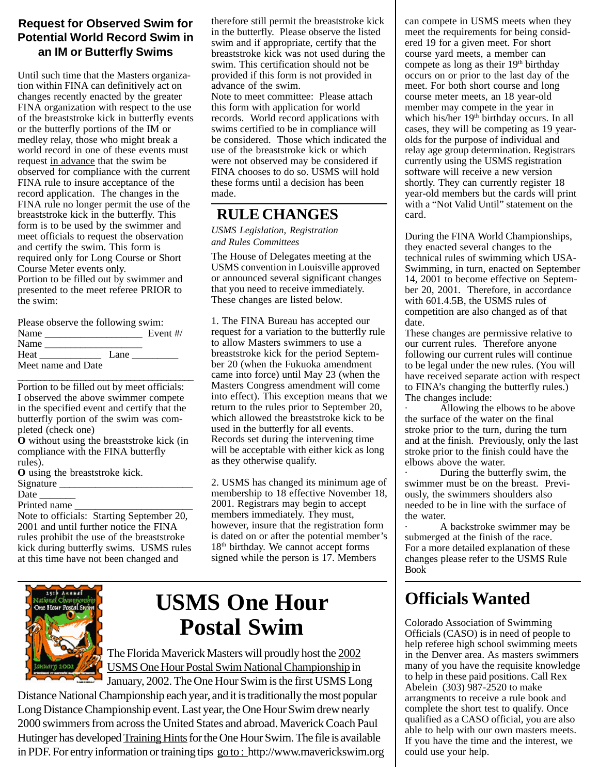#### **Request for Observed Swim for Potential World Record Swim in an IM or Butterfly Swims**

Until such time that the Masters organization within FINA can definitively act on changes recently enacted by the greater FINA organization with respect to the use of the breaststroke kick in butterfly events or the butterfly portions of the IM or medley relay, those who might break a world record in one of these events must request in advance that the swim be observed for compliance with the current FINA rule to insure acceptance of the record application. The changes in the FINA rule no longer permit the use of the breaststroke kick in the butterfly. This form is to be used by the swimmer and meet officials to request the observation and certify the swim. This form is required only for Long Course or Short Course Meter events only.

Portion to be filled out by swimmer and presented to the meet referee PRIOR to the swim:

|      | Please observe the following swim: |            |
|------|------------------------------------|------------|
| Name |                                    | Event $#/$ |
| Name |                                    |            |
| Heat | Lane                               |            |
|      | Meet name and Date                 |            |

\_\_\_\_\_\_\_\_\_\_\_\_\_\_\_\_\_\_\_\_\_\_\_\_\_\_\_\_\_\_\_\_\_\_\_\_\_\_\_ Portion to be filled out by meet officials: I observed the above swimmer compete in the specified event and certify that the butterfly portion of the swim was completed (check one)

**O** without using the breaststroke kick (in compliance with the FINA butterfly rules).

**O** using the breaststroke kick.

Signature \_

Date

Printed name

Note to officials: Starting September 20, 2001 and until further notice the FINA rules prohibit the use of the breaststroke kick during butterfly swims. USMS rules at this time have not been changed and

therefore still permit the breaststroke kick in the butterfly. Please observe the listed swim and if appropriate, certify that the breaststroke kick was not used during the swim. This certification should not be provided if this form is not provided in advance of the swim. Note to meet committee: Please attach this form with application for world records. World record applications with swims certified to be in compliance will be considered. Those which indicated the use of the breaststroke kick or which were not observed may be considered if FINA chooses to do so. USMS will hold these forms until a decision has been made.

### **RULE CHANGES**

*USMS Legislation, Registration and Rules Committees*

The House of Delegates meeting at the USMS convention in Louisville approved or announced several significant changes that you need to receive immediately. These changes are listed below.

1. The FINA Bureau has accepted our request for a variation to the butterfly rule to allow Masters swimmers to use a breaststroke kick for the period September 20 (when the Fukuoka amendment came into force) until May 23 (when the Masters Congress amendment will come into effect). This exception means that we return to the rules prior to September 20, which allowed the breaststroke kick to be used in the butterfly for all events. Records set during the intervening time will be acceptable with either kick as long as they otherwise qualify.

2. USMS has changed its minimum age of membership to 18 effective November 18, 2001. Registrars may begin to accept members immediately. They must, however, insure that the registration form is dated on or after the potential member's 18<sup>th</sup> birthday. We cannot accept forms signed while the person is 17. Members



## **USMS One Hour Postal Swim**

The Florida Maverick Masters will proudly host the 2002 USMS One Hour Postal Swim National Championship in January, 2002. The One Hour Swim is the first USMS Long

Distance National Championship each year, and it is traditionally the most popular Long Distance Championship event. Last year, the One Hour Swim drew nearly 2000 swimmers from across the United States and abroad. Maverick Coach Paul Hutinger has developed Training Hints for the One Hour Swim. The file is available in PDF. For entry information or training tips go to : http://www.maverickswim.org can compete in USMS meets when they meet the requirements for being considered 19 for a given meet. For short course yard meets, a member can compete as long as their 19<sup>th</sup> birthday occurs on or prior to the last day of the meet. For both short course and long course meter meets, an 18 year-old member may compete in the year in which his/her 19<sup>th</sup> birthday occurs. In all cases, they will be competing as 19 yearolds for the purpose of individual and relay age group determination. Registrars currently using the USMS registration software will receive a new version shortly. They can currently register 18 year-old members but the cards will print with a "Not Valid Until" statement on the card.

During the FINA World Championships, they enacted several changes to the technical rules of swimming which USA-Swimming, in turn, enacted on September 14, 2001 to become effective on September 20, 2001. Therefore, in accordance with 601.4.5B, the USMS rules of competition are also changed as of that date.

These changes are permissive relative to our current rules. Therefore anyone following our current rules will continue to be legal under the new rules. (You will have received separate action with respect to FINA's changing the butterfly rules.) The changes include:

Allowing the elbows to be above the surface of the water on the final stroke prior to the turn, during the turn and at the finish. Previously, only the last stroke prior to the finish could have the elbows above the water.

During the butterfly swim, the swimmer must be on the breast. Previously, the swimmers shoulders also needed to be in line with the surface of the water.

· A backstroke swimmer may be submerged at the finish of the race. For a more detailed explanation of these changes please refer to the USMS Rule Book

## **Officials Wanted**

Colorado Association of Swimming Officials (CASO) is in need of people to help referee high school swimming meets in the Denver area. As masters swimmers many of you have the requisite knowledge to help in these paid positions. Call Rex Abelein (303) 987-2520 to make arrangments to receive a rule book and complete the short test to qualify. Once qualified as a CASO official, you are also able to help with our own masters meets. If you have the time and the interest, we could use your help.